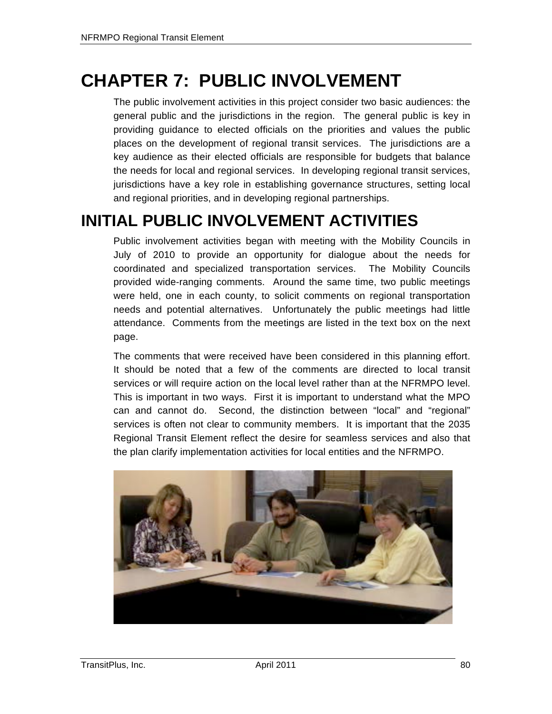# **CHAPTER 7: PUBLIC INVOLVEMENT**

The public involvement activities in this project consider two basic audiences: the general public and the jurisdictions in the region. The general public is key in providing guidance to elected officials on the priorities and values the public places on the development of regional transit services. The jurisdictions are a key audience as their elected officials are responsible for budgets that balance the needs for local and regional services. In developing regional transit services, jurisdictions have a key role in establishing governance structures, setting local and regional priorities, and in developing regional partnerships.

## **INITIAL PUBLIC INVOLVEMENT ACTIVITIES**

Public involvement activities began with meeting with the Mobility Councils in July of 2010 to provide an opportunity for dialogue about the needs for coordinated and specialized transportation services. The Mobility Councils provided wide-ranging comments. Around the same time, two public meetings were held, one in each county, to solicit comments on regional transportation needs and potential alternatives. Unfortunately the public meetings had little attendance. Comments from the meetings are listed in the text box on the next page.

The comments that were received have been considered in this planning effort. It should be noted that a few of the comments are directed to local transit services or will require action on the local level rather than at the NFRMPO level. This is important in two ways. First it is important to understand what the MPO can and cannot do. Second, the distinction between "local" and "regional" services is often not clear to community members. It is important that the 2035 Regional Transit Element reflect the desire for seamless services and also that the plan clarify implementation activities for local entities and the NFRMPO.

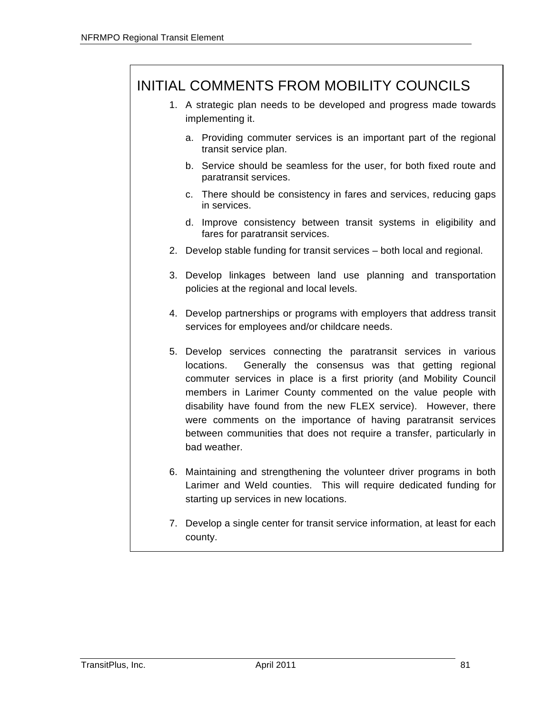### INITIAL COMMENTS FROM MOBILITY COUNCILS

- 1. A strategic plan needs to be developed and progress made towards implementing it.
	- a. Providing commuter services is an important part of the regional transit service plan.
	- b. Service should be seamless for the user, for both fixed route and paratransit services.
	- c. There should be consistency in fares and services, reducing gaps in services.
	- d. Improve consistency between transit systems in eligibility and fares for paratransit services.
- 2. Develop stable funding for transit services both local and regional.
- 3. Develop linkages between land use planning and transportation policies at the regional and local levels.
- 4. Develop partnerships or programs with employers that address transit services for employees and/or childcare needs.
- 5. Develop services connecting the paratransit services in various locations. Generally the consensus was that getting regional commuter services in place is a first priority (and Mobility Council members in Larimer County commented on the value people with disability have found from the new FLEX service). However, there were comments on the importance of having paratransit services between communities that does not require a transfer, particularly in bad weather.
- 6. Maintaining and strengthening the volunteer driver programs in both Larimer and Weld counties. This will require dedicated funding for starting up services in new locations.
- 7. Develop a single center for transit service information, at least for each county.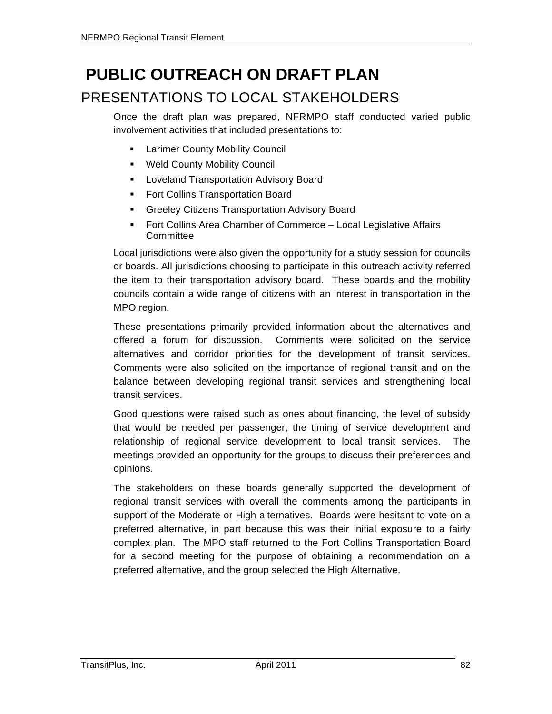## **PUBLIC OUTREACH ON DRAFT PLAN** PRESENTATIONS TO LOCAL STAKEHOLDERS

Once the draft plan was prepared, NFRMPO staff conducted varied public involvement activities that included presentations to:

- Larimer County Mobility Council
- **Weld County Mobility Council**
- **Loveland Transportation Advisory Board**
- **Fort Collins Transportation Board**
- Greeley Citizens Transportation Advisory Board
- Fort Collins Area Chamber of Commerce Local Legislative Affairs **Committee**

Local jurisdictions were also given the opportunity for a study session for councils or boards. All jurisdictions choosing to participate in this outreach activity referred the item to their transportation advisory board. These boards and the mobility councils contain a wide range of citizens with an interest in transportation in the MPO region.

These presentations primarily provided information about the alternatives and offered a forum for discussion. Comments were solicited on the service alternatives and corridor priorities for the development of transit services. Comments were also solicited on the importance of regional transit and on the balance between developing regional transit services and strengthening local transit services.

Good questions were raised such as ones about financing, the level of subsidy that would be needed per passenger, the timing of service development and relationship of regional service development to local transit services. The meetings provided an opportunity for the groups to discuss their preferences and opinions.

The stakeholders on these boards generally supported the development of regional transit services with overall the comments among the participants in support of the Moderate or High alternatives. Boards were hesitant to vote on a preferred alternative, in part because this was their initial exposure to a fairly complex plan. The MPO staff returned to the Fort Collins Transportation Board for a second meeting for the purpose of obtaining a recommendation on a preferred alternative, and the group selected the High Alternative.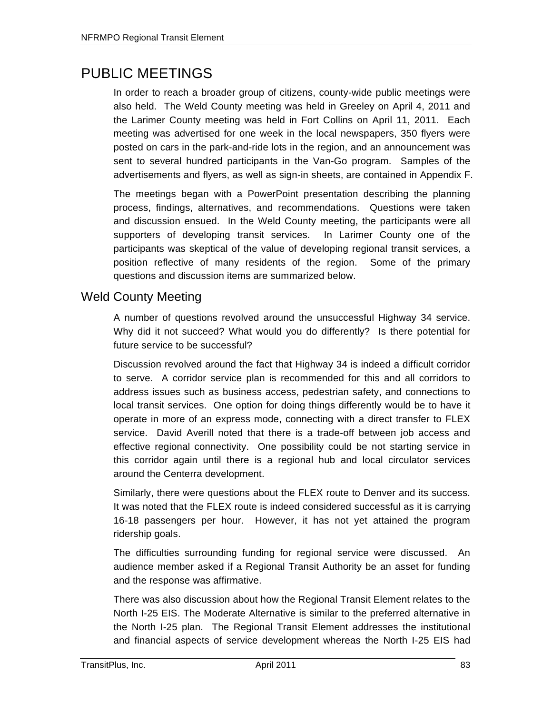### PUBLIC MEETINGS

In order to reach a broader group of citizens, county-wide public meetings were also held. The Weld County meeting was held in Greeley on April 4, 2011 and the Larimer County meeting was held in Fort Collins on April 11, 2011. Each meeting was advertised for one week in the local newspapers, 350 flyers were posted on cars in the park-and-ride lots in the region, and an announcement was sent to several hundred participants in the Van-Go program. Samples of the advertisements and flyers, as well as sign-in sheets, are contained in Appendix F.

The meetings began with a PowerPoint presentation describing the planning process, findings, alternatives, and recommendations. Questions were taken and discussion ensued. In the Weld County meeting, the participants were all supporters of developing transit services. In Larimer County one of the participants was skeptical of the value of developing regional transit services, a position reflective of many residents of the region. Some of the primary questions and discussion items are summarized below.

#### Weld County Meeting

A number of questions revolved around the unsuccessful Highway 34 service. Why did it not succeed? What would you do differently? Is there potential for future service to be successful?

Discussion revolved around the fact that Highway 34 is indeed a difficult corridor to serve. A corridor service plan is recommended for this and all corridors to address issues such as business access, pedestrian safety, and connections to local transit services. One option for doing things differently would be to have it operate in more of an express mode, connecting with a direct transfer to FLEX service. David Averill noted that there is a trade-off between job access and effective regional connectivity. One possibility could be not starting service in this corridor again until there is a regional hub and local circulator services around the Centerra development.

Similarly, there were questions about the FLEX route to Denver and its success. It was noted that the FLEX route is indeed considered successful as it is carrying 16-18 passengers per hour. However, it has not yet attained the program ridership goals.

The difficulties surrounding funding for regional service were discussed. An audience member asked if a Regional Transit Authority be an asset for funding and the response was affirmative.

There was also discussion about how the Regional Transit Element relates to the North I-25 EIS. The Moderate Alternative is similar to the preferred alternative in the North I-25 plan. The Regional Transit Element addresses the institutional and financial aspects of service development whereas the North I-25 EIS had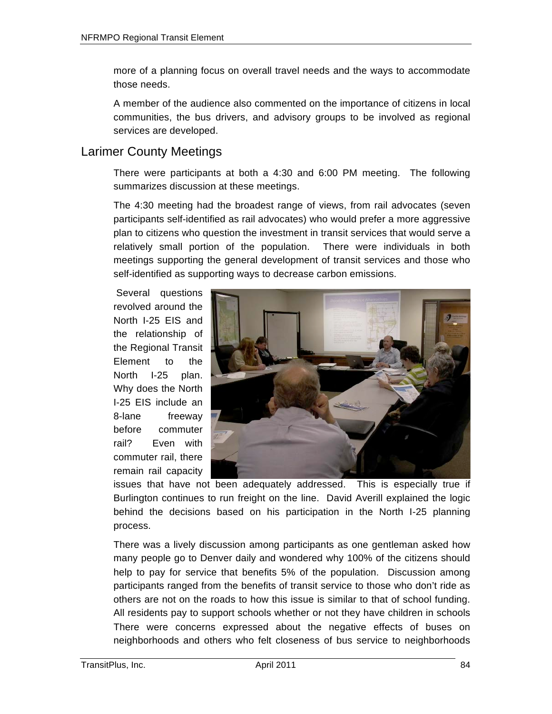more of a planning focus on overall travel needs and the ways to accommodate those needs.

A member of the audience also commented on the importance of citizens in local communities, the bus drivers, and advisory groups to be involved as regional services are developed.

#### Larimer County Meetings

There were participants at both a 4:30 and 6:00 PM meeting. The following summarizes discussion at these meetings.

The 4:30 meeting had the broadest range of views, from rail advocates (seven participants self-identified as rail advocates) who would prefer a more aggressive plan to citizens who question the investment in transit services that would serve a relatively small portion of the population. There were individuals in both meetings supporting the general development of transit services and those who self-identified as supporting ways to decrease carbon emissions.

Several questions revolved around the North I-25 EIS and the relationship of the Regional Transit Element to the North I-25 plan. Why does the North I-25 EIS include an 8-lane freeway before commuter rail? Even with commuter rail, there remain rail capacity



issues that have not been adequately addressed. This is especially true if Burlington continues to run freight on the line. David Averill explained the logic behind the decisions based on his participation in the North I-25 planning process.

There was a lively discussion among participants as one gentleman asked how many people go to Denver daily and wondered why 100% of the citizens should help to pay for service that benefits 5% of the population. Discussion among participants ranged from the benefits of transit service to those who don't ride as others are not on the roads to how this issue is similar to that of school funding. All residents pay to support schools whether or not they have children in schools There were concerns expressed about the negative effects of buses on neighborhoods and others who felt closeness of bus service to neighborhoods